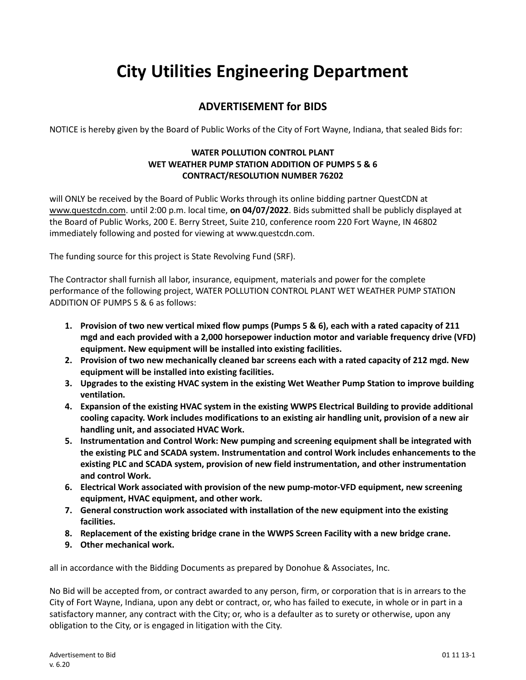## **City Utilities Engineering Department**

## **ADVERTISEMENT for BIDS**

NOTICE is hereby given by the Board of Public Works of the City of Fort Wayne, Indiana, that sealed Bids for:

## **WATER POLLUTION CONTROL PLANT WET WEATHER PUMP STATION ADDITION OF PUMPS 5 & 6 CONTRACT/RESOLUTION NUMBER 76202**

will ONLY be received by the Board of Public Works through its online bidding partner QuestCDN at [www.questcdn.com.](file:///C:/Users/ARWIFB/Downloads/www.questcdn.com) until 2:00 p.m. local time, **on 04/07/2022**. Bids submitted shall be publicly displayed at the Board of Public Works, 200 E. Berry Street, Suite 210, conference room 220 Fort Wayne, IN 46802 immediately following and posted for viewing at www.questcdn.com.

The funding source for this project is State Revolving Fund (SRF).

The Contractor shall furnish all labor, insurance, equipment, materials and power for the complete performance of the following project, WATER POLLUTION CONTROL PLANT WET WEATHER PUMP STATION ADDITION OF PUMPS 5 & 6 as follows:

- **1. Provision of two new vertical mixed flow pumps (Pumps 5 & 6), each with a rated capacity of 211 mgd and each provided with a 2,000 horsepower induction motor and variable frequency drive (VFD) equipment. New equipment will be installed into existing facilities.**
- **2. Provision of two new mechanically cleaned bar screens each with a rated capacity of 212 mgd. New equipment will be installed into existing facilities.**
- **3. Upgrades to the existing HVAC system in the existing Wet Weather Pump Station to improve building ventilation.**
- **4. Expansion of the existing HVAC system in the existing WWPS Electrical Building to provide additional cooling capacity. Work includes modifications to an existing air handling unit, provision of a new air handling unit, and associated HVAC Work.**
- **5. Instrumentation and Control Work: New pumping and screening equipment shall be integrated with the existing PLC and SCADA system. Instrumentation and control Work includes enhancements to the existing PLC and SCADA system, provision of new field instrumentation, and other instrumentation and control Work.**
- **6. Electrical Work associated with provision of the new pump-motor-VFD equipment, new screening equipment, HVAC equipment, and other work.**
- **7. General construction work associated with installation of the new equipment into the existing facilities.**
- **8. Replacement of the existing bridge crane in the WWPS Screen Facility with a new bridge crane.**
- **9. Other mechanical work.**

all in accordance with the Bidding Documents as prepared by Donohue & Associates, Inc.

No Bid will be accepted from, or contract awarded to any person, firm, or corporation that is in arrears to the City of Fort Wayne, Indiana, upon any debt or contract, or, who has failed to execute, in whole or in part in a satisfactory manner, any contract with the City; or, who is a defaulter as to surety or otherwise, upon any obligation to the City, or is engaged in litigation with the City.